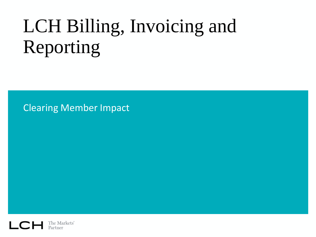# LCH Billing, Invoicing and Reporting

Clearing Member Impact

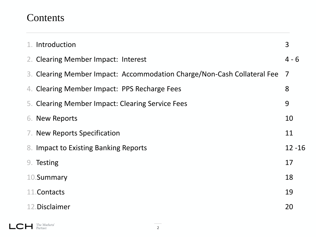## **Contents**

 $L$   $C$   $H$  The Markets'

| 1. Introduction                                                         | 3         |
|-------------------------------------------------------------------------|-----------|
| 2. Clearing Member Impact: Interest                                     | $4 - 6$   |
| 3. Clearing Member Impact: Accommodation Charge/Non-Cash Collateral Fee | 7         |
| 4. Clearing Member Impact: PPS Recharge Fees                            | 8         |
| 5. Clearing Member Impact: Clearing Service Fees                        | 9         |
| 6. New Reports                                                          | 10        |
| 7. New Reports Specification                                            | 11        |
| 8. Impact to Existing Banking Reports                                   | $12 - 16$ |
| 9. Testing                                                              | 17        |
| 10.Summary                                                              | 18        |
| 11. Contacts                                                            | 19        |
| 12. Disclaimer                                                          | 20        |

2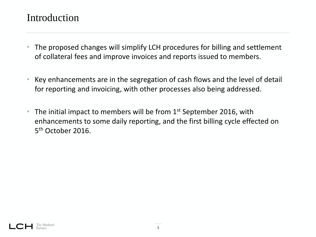## Introduction

- The proposed changes will simplify LCH procedures for billing and settlement of collateral fees and improve invoices and reports issued to members.
- Key enhancements are in the segregation of cash flows and the level of detail for reporting and invoicing, with other processes also being addressed.
- The initial impact to members will be from  $1<sup>st</sup>$  September 2016, with enhancements to some daily reporting, and the first billing cycle effected on 5<sup>th</sup> October 2016.

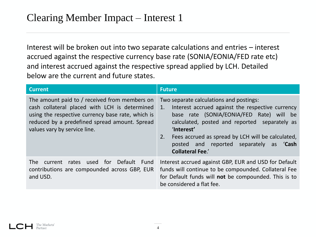Interest will be broken out into two separate calculations and entries – interest accrued against the respective currency base rate (SONIA/EONIA/FED rate etc) and interest accrued against the respective spread applied by LCH. Detailed below are the current and future states.

| <b>Current</b>                                                                                                                                                                                                                       | <b>Future</b>                                                                                                                                                                                                                                                                                                                                |
|--------------------------------------------------------------------------------------------------------------------------------------------------------------------------------------------------------------------------------------|----------------------------------------------------------------------------------------------------------------------------------------------------------------------------------------------------------------------------------------------------------------------------------------------------------------------------------------------|
| The amount paid to / received from members on<br>cash collateral placed with LCH is determined<br>using the respective currency base rate, which is<br>reduced by a predefined spread amount. Spread<br>values vary by service line. | Two separate calculations and postings:<br>Interest accrued against the respective currency<br>1.<br>base rate (SONIA/EONIA/FED Rate) will be<br>calculated, posted and reported separately as<br>'Interest'<br>Fees accrued as spread by LCH will be calculated,<br>2.<br>posted and reported separately as 'Cash<br><b>Collateral Fee.</b> |
| used for Default Fund<br>rates<br>The l<br>current<br>contributions are compounded across GBP, EUR<br>and USD.                                                                                                                       | Interest accrued against GBP, EUR and USD for Default<br>funds will continue to be compounded. Collateral Fee<br>for Default funds will not be compounded. This is to<br>be considered a flat fee.                                                                                                                                           |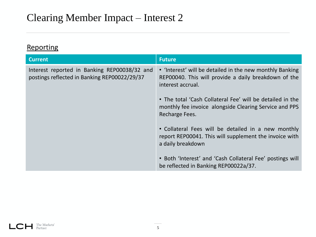**Reporting** 

| <b>Current</b>                                                                               | <b>Future</b>                                                                                                                         |
|----------------------------------------------------------------------------------------------|---------------------------------------------------------------------------------------------------------------------------------------|
| Interest reported in Banking REP00038/32 and<br>postings reflected in Banking REP00022/29/37 | • 'Interest' will be detailed in the new monthly Banking<br>REP00040. This will provide a daily breakdown of the<br>interest accrual. |
|                                                                                              | • The total 'Cash Collateral Fee' will be detailed in the<br>monthly fee invoice alongside Clearing Service and PPS<br>Recharge Fees. |
|                                                                                              | • Collateral Fees will be detailed in a new monthly<br>report REP00041. This will supplement the invoice with<br>a daily breakdown    |
|                                                                                              | • Both 'Interest' and 'Cash Collateral Fee' postings will<br>be reflected in Banking REP00022a/37.                                    |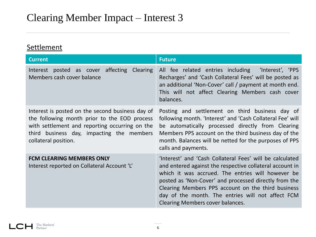#### **Settlement**

| <b>Current</b>                                                                                                                                                                                                          | <b>Future</b>                                                                                                                                                                                                                                                                                                                                                                     |
|-------------------------------------------------------------------------------------------------------------------------------------------------------------------------------------------------------------------------|-----------------------------------------------------------------------------------------------------------------------------------------------------------------------------------------------------------------------------------------------------------------------------------------------------------------------------------------------------------------------------------|
| Interest posted as cover affecting Clearing<br>Members cash cover balance                                                                                                                                               | All fee related entries including 'Interest', 'PPS<br>Recharges' and 'Cash Collateral Fees' will be posted as<br>an additional 'Non-Cover' call / payment at month end.<br>This will not affect Clearing Members cash cover<br>balances.                                                                                                                                          |
| Interest is posted on the second business day of<br>the following month prior to the EOD process<br>with settlement and reporting occurring on the<br>third business day, impacting the members<br>collateral position. | Posting and settlement on third business day of<br>following month. 'Interest' and 'Cash Collateral Fee' will<br>be automatically processed directly from Clearing<br>Members PPS account on the third business day of the<br>month. Balances will be netted for the purposes of PPS<br>calls and payments.                                                                       |
| <b>FCM CLEARING MEMBERS ONLY</b><br>Interest reported on Collateral Account 'L'                                                                                                                                         | 'Interest' and 'Cash Collateral Fees' will be calculated<br>and entered against the respective collateral account in<br>which it was accrued. The entries will however be<br>posted as 'Non-Cover' and processed directly from the<br>Clearing Members PPS account on the third business<br>day of the month. The entries will not affect FCM<br>Clearing Members cover balances. |

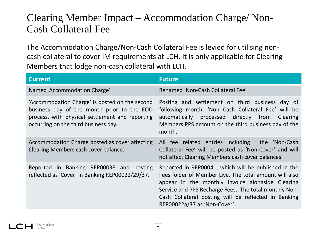# Clearing Member Impact – Accommodation Charge/ Non-Cash Collateral Fee

The Accommodation Charge/Non-Cash Collateral Fee is levied for utilising noncash collateral to cover IM requirements at LCH. It is only applicable for Clearing Members that lodge non-cash collateral with LCH.

| <b>Current</b>                                                                                                                                                                          | <b>Future</b>                                                                                                                                                                                                                                                                                                       |
|-----------------------------------------------------------------------------------------------------------------------------------------------------------------------------------------|---------------------------------------------------------------------------------------------------------------------------------------------------------------------------------------------------------------------------------------------------------------------------------------------------------------------|
| Named 'Accommodation Charge'                                                                                                                                                            | Renamed 'Non-Cash Collateral Fee'                                                                                                                                                                                                                                                                                   |
| 'Accommodation Charge' is posted on the second<br>business day of the month prior to the EOD<br>process, with physical settlement and reporting<br>occurring on the third business day. | Posting and settlement on third business day of<br>following month. 'Non Cash Collateral Fee' will be<br>automatically processed directly from Clearing<br>Members PPS account on the third business day of the<br>month.                                                                                           |
| Accommodation Charge posted as cover affecting<br>Clearing Members cash cover balance.                                                                                                  | All fee related entries including the 'Non-Cash<br>Collateral Fee' will be posted as 'Non-Cover' and will<br>not affect Clearing Members cash cover balances.                                                                                                                                                       |
| Reported in Banking REP00038 and posting<br>reflected as 'Cover' in Banking REP00022/29/37.                                                                                             | Reported in REP00041, which will be published in the<br>Fees folder of Member Live. The total amount will also<br>appear in the monthly invoice alongside Clearing<br>Service and PPS Recharge Fees. The total monthly Non-<br>Cash Collateral posting will be reflected in Banking<br>REP00022a/37 as 'Non-Cover'. |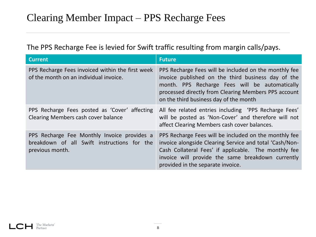The PPS Recharge Fee is levied for Swift traffic resulting from margin calls/pays.

| <b>Current</b>                                                                                                | <b>Future</b>                                                                                                                                                                                                                                                      |
|---------------------------------------------------------------------------------------------------------------|--------------------------------------------------------------------------------------------------------------------------------------------------------------------------------------------------------------------------------------------------------------------|
| PPS Recharge Fees invoiced within the first week<br>of the month on an individual invoice.                    | PPS Recharge Fees will be included on the monthly fee<br>invoice published on the third business day of the<br>month. PPS Recharge Fees will be automatically<br>processed directly from Clearing Members PPS account<br>on the third business day of the month    |
| PPS Recharge Fees posted as 'Cover' affecting<br>Clearing Members cash cover balance                          | All fee related entries including 'PPS Recharge Fees'<br>will be posted as 'Non-Cover' and therefore will not<br>affect Clearing Members cash cover balances.                                                                                                      |
| PPS Recharge Fee Monthly Invoice provides a<br>breakdown of all Swift instructions for the<br>previous month. | PPS Recharge Fees will be included on the monthly fee<br>invoice alongside Clearing Service and total 'Cash/Non-<br>Cash Collateral Fees' if applicable. The monthly fee<br>invoice will provide the same breakdown currently<br>provided in the separate invoice. |



8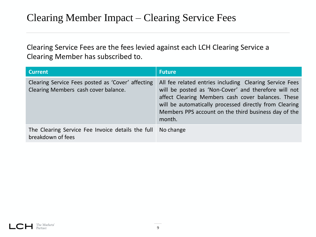Clearing Service Fees are the fees levied against each LCH Clearing Service a Clearing Member has subscribed to.

| <b>Current</b>                                                                            | <b>Future</b>                                                                                                                                                                                                                                                                                     |
|-------------------------------------------------------------------------------------------|---------------------------------------------------------------------------------------------------------------------------------------------------------------------------------------------------------------------------------------------------------------------------------------------------|
| Clearing Service Fees posted as 'Cover' affecting<br>Clearing Members cash cover balance. | All fee related entries including Clearing Service Fees<br>will be posted as 'Non-Cover' and therefore will not<br>affect Clearing Members cash cover balances. These<br>will be automatically processed directly from Clearing<br>Members PPS account on the third business day of the<br>month. |
| The Clearing Service Fee Invoice details the full<br>breakdown of fees                    | No change                                                                                                                                                                                                                                                                                         |

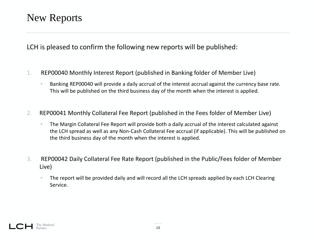## New Reports

LCH is pleased to confirm the following new reports will be published:

- 1. REP00040 Monthly Interest Report (published in Banking folder of Member Live)
	- Banking REP00040 will provide a daily accrual of the interest accrual against the currency base rate. This will be published on the third business day of the month when the interest is applied.
- 2. REP00041 Monthly Collateral Fee Report (published in the Fees folder of Member Live)
	- The Margin Collateral Fee Report will provide both a daily accrual of the interest calculated against the LCH spread as well as any Non-Cash Collateral Fee accrual (if applicable). This will be published on the third business day of the month when the interest is applied.
- 3. REP00042 Daily Collateral Fee Rate Report (published in the Public/Fees folder of Member Live)
	- The report will be provided daily and will record all the LCH spreads applied by each LCH Clearing Service.

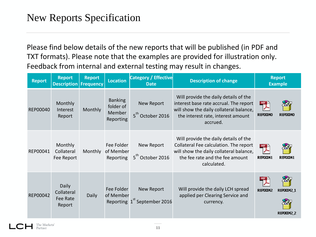# New Reports Specification

Please find below details of the new reports that will be published (in PDF and TXT formats). Please note that the examples are provided for illustration only. Feedback from internal and external testing may result in changes.

| <b>Report</b> | <b>Report</b><br><b>Description</b>              | <b>Report</b><br><b>Frequency</b> | <b>Location</b>                                    | <b>Category / Effective</b><br><b>Date</b>             | <b>Description of change</b>                                                                                                                                                 |                                     | <b>Report</b><br><b>Example</b> |
|---------------|--------------------------------------------------|-----------------------------------|----------------------------------------------------|--------------------------------------------------------|------------------------------------------------------------------------------------------------------------------------------------------------------------------------------|-------------------------------------|---------------------------------|
| REP00040      | Monthly<br>Interest<br>Report                    | Monthly                           | <b>Banking</b><br>folder of<br>Member<br>Reporting | New Report<br>5 <sup>th</sup> October 2016             | Will provide the daily details of the<br>interest base rate accrual. The report<br>will show the daily collateral balance,<br>the interest rate, interest amount<br>accrued. | <b>REP00040</b>                     | <b>REPO0040</b>                 |
| REP00041      | Monthly<br>Collateral<br>Fee Report              | Monthly                           | Fee Folder<br>of Member<br>Reporting               | New Report<br>5 <sup>th</sup> October 2016             | Will provide the daily details of the<br>Collateral Fee calculation. The report<br>will show the daily collateral balance,<br>the fee rate and the fee amount<br>calculated. | POF <sub>X</sub><br><b>REPO0041</b> | REP00041                        |
| REP00042      | <b>Daily</b><br>Collateral<br>Fee Rate<br>Report | <b>Daily</b>                      | Fee Folder<br>of Member                            | New Report<br>Reporting 1 <sup>st</sup> September 2016 | Will provide the daily LCH spread<br>applied per Clearing Service and<br>currency.                                                                                           | <b>REPO0042</b>                     | REP00042 1<br>REP00042 2        |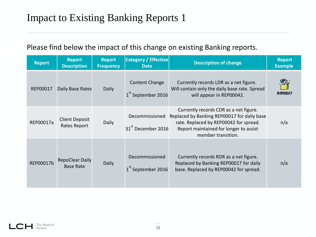| <b>Report</b> | <b>Report</b><br><b>Description</b>        | <b>Report</b><br><b>Frequency</b> | <b>Category / Effective</b><br><b>Date</b>       | <b>Description of change</b>                                                                                                                                                                    | <b>Report</b><br><b>Example</b> |
|---------------|--------------------------------------------|-----------------------------------|--------------------------------------------------|-------------------------------------------------------------------------------------------------------------------------------------------------------------------------------------------------|---------------------------------|
| REP00017      | Daily Base Rates                           | <b>Daily</b>                      | Content Change<br>1 <sup>st</sup> September 2016 | Currently records LDR as a net figure.<br>Will contain only the daily base rate. Spread<br>will appear in REP00042.                                                                             | <b>REPOCO17</b>                 |
| REP00017a     | <b>Client Deposit</b><br>Rates Report      | <b>Daily</b>                      | Decommissioned<br>31 <sup>st</sup> December 2016 | Currently records CDR as a net figure.<br>Replaced by Banking REP00017 for daily base<br>rate. Replaced by REP00042 for spread.<br>Report maintained for longer to assist<br>member transition. | n/a                             |
| REP00017b     | <b>RepoClear Daily</b><br><b>Base Rate</b> | Daily                             | Decommissioned<br>1 <sup>st</sup> September 2016 | Currently records RDR as a net figure.<br>Replaced by Banking REP00017 for daily<br>base. Replaced by REP00042 for spread.                                                                      | n/a                             |

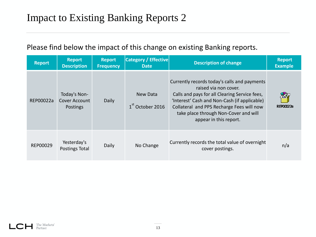| <b>Report</b> | <b>Report</b><br><b>Description</b>              | <b>Report</b><br><b>Frequency</b> | <b>Category / Effective</b><br><b>Date</b> | <b>Description of change</b>                                                                                                                                                                                                                                                           | <b>Report</b><br><b>Example</b> |
|---------------|--------------------------------------------------|-----------------------------------|--------------------------------------------|----------------------------------------------------------------------------------------------------------------------------------------------------------------------------------------------------------------------------------------------------------------------------------------|---------------------------------|
| REP00022a     | Today's Non-<br>Cover Account<br><b>Postings</b> | Daily                             | New Data<br>1 <sup>st</sup> October 2016   | Currently records today's calls and payments<br>raised via non cover.<br>Calls and pays for all Clearing Service fees,<br>'Interest' Cash and Non-Cash (if applicable)<br>Collateral and PPS Recharge Fees will now<br>take place through Non-Cover and will<br>appear in this report. | RFP00022a                       |
| REP00029      | Yesterday's<br>Postings Total                    | Daily                             | No Change                                  | Currently records the total value of overnight<br>cover postings.                                                                                                                                                                                                                      | n/a                             |

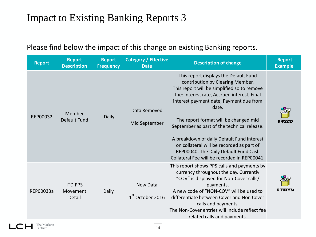| <b>Report</b> | <b>Report</b><br><b>Description</b>  | <b>Report</b><br><b>Frequency</b> | <b>Category / Effective</b><br><b>Date</b> | <b>Description of change</b>                                                                                                                                                                                                                                                                                                                                                                                                                                                                            | <b>Report</b><br><b>Example</b> |
|---------------|--------------------------------------|-----------------------------------|--------------------------------------------|---------------------------------------------------------------------------------------------------------------------------------------------------------------------------------------------------------------------------------------------------------------------------------------------------------------------------------------------------------------------------------------------------------------------------------------------------------------------------------------------------------|---------------------------------|
| REP00032      | Member<br>Default Fund               | Daily                             | Data Removed<br>Mid September              | This report displays the Default Fund<br>contribution by Clearing Member.<br>This report will be simplified so to remove<br>the: Interest rate, Accrued interest, Final<br>interest payment date, Payment due from<br>date.<br>The report format will be changed mid<br>September as part of the technical release.<br>A breakdown of daily Default Fund interest<br>on collateral will be recorded as part of<br>REP00040. The Daily Default Fund Cash<br>Collateral Fee will be recorded in REP00041. | <b>RFP00032</b>                 |
| REP00033a     | <b>ITD PPS</b><br>Movement<br>Detail | Daily                             | New Data<br>$1^{\text{th}}$ October 2016   | This report shows PPS calls and payments by<br>currency throughout the day. Currently<br>"COV" is displayed for Non-Cover calls/<br>payments.<br>A new code of "NON-COV" will be used to<br>differentiate between Cover and Non Cover<br>calls and payments.<br>The Non-Cover entries will include reflect fee<br>related calls and payments.                                                                                                                                                           | RFP00033a                       |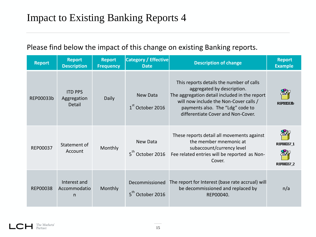| <b>Report</b>   | <b>Report</b><br><b>Description</b>     | <b>Report</b><br><b>Frequency</b> | <b>Category / Effective</b><br><b>Date</b> | <b>Description of change</b>                                                                                                                                                                                                                | <b>Report</b><br><b>Example</b> |
|-----------------|-----------------------------------------|-----------------------------------|--------------------------------------------|---------------------------------------------------------------------------------------------------------------------------------------------------------------------------------------------------------------------------------------------|---------------------------------|
| REP00033b       | <b>ITD PPS</b><br>Aggregation<br>Detail | Daily                             | New Data<br>$1st$ October 2016             | This reports details the number of calls<br>aggregated by description.<br>The aggregation detail included in the report<br>will now include the Non-Cover calls /<br>payments also. The "Ldg" code to<br>differentiate Cover and Non-Cover. | <b>REPO0033b</b>                |
| REP00037        | Statement of<br>Account                 | Monthly                           | New Data<br>$5th$ October 2016             | These reports detail all movements against<br>the member mnemonic at<br>subaccount/currency level<br>Fee related entries will be reported as Non-<br>Cover.                                                                                 | REP00037 1<br>REP00037 2        |
| <b>REP00038</b> | Interest and<br>Accommodatio<br>n       | Monthly                           | Decommissioned<br>October 2016             | The report for Interest (base rate accrual) will<br>be decommissioned and replaced by<br>REP00040.                                                                                                                                          | n/a                             |

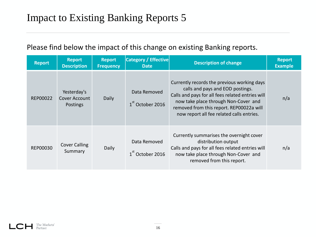| <b>Report</b> | <b>Report</b><br><b>Description</b>             | <b>Report</b><br><b>Frequency</b> | <b>Category / Effective</b><br><b>Date</b>   | <b>Description of change</b>                                                                                                                                                                                                                                         | <b>Report</b><br><b>Example</b> |
|---------------|-------------------------------------------------|-----------------------------------|----------------------------------------------|----------------------------------------------------------------------------------------------------------------------------------------------------------------------------------------------------------------------------------------------------------------------|---------------------------------|
| REP00022      | Yesterday's<br>Cover Account<br><b>Postings</b> | Daily                             | Data Removed<br>$1st$ October 2016           | Currently records the previous working days<br>calls and pays and EOD postings.<br>Calls and pays for all fees related entries will<br>now take place through Non-Cover and<br>removed from this report. REP00022a will<br>now report all fee related calls entries. | n/a                             |
| REP00030      | <b>Cover Calling</b><br>Summary                 | Daily                             | Data Removed<br>1 <sup>st</sup> October 2016 | Currently summarises the overnight cover<br>distribution output<br>Calls and pays for all fees related entries will<br>now take place through Non-Cover and<br>removed from this report.                                                                             | n/a                             |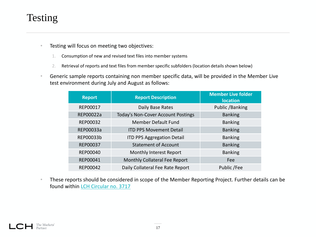# Testing

- Testing will focus on meeting two objectives:
	- 1. Consumption of new and revised text files into member systems
	- 2. Retrieval of reports and text files from member specific subfolders (location details shown below)
- Generic sample reports containing non member specific data, will be provided in the Member Live test environment during July and August as follows:

| <b>Report</b> | <b>Report Description</b>                 | <b>Member Live folder</b><br><b>location</b> |  |
|---------------|-------------------------------------------|----------------------------------------------|--|
| REP00017      | Daily Base Rates                          | Public /Banking                              |  |
| REP00022a     | <b>Today's Non-Cover Account Postings</b> | <b>Banking</b>                               |  |
| REP00032      | <b>Member Default Fund</b>                | <b>Banking</b>                               |  |
| REP00033a     | <b>ITD PPS Movement Detail</b>            | <b>Banking</b>                               |  |
| REP00033b     | <b>ITD PPS Aggregation Detail</b>         | <b>Banking</b>                               |  |
| REP00037      | <b>Statement of Account</b>               | <b>Banking</b>                               |  |
| REP00040      | Monthly Interest Report                   | <b>Banking</b>                               |  |
| REP00041      | Monthly Collateral Fee Report             | Fee                                          |  |
| REP00042      | Daily Collateral Fee Rate Report          | Public /Fee                                  |  |

• These reports should be considered in scope of the Member Reporting Project. Further details can be found within [LCH Circular no. 3717](http://www.lch.com/news-events/members-updates/general-information/lchcircularno3717)

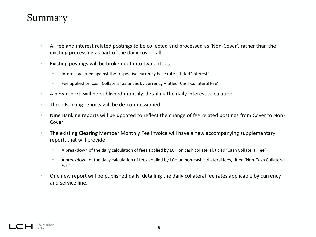## Summary

- All fee and interest related postings to be collected and processed as 'Non-Cover', rather than the existing processing as part of the daily cover call
- Existing postings will be broken out into two entries:
	- Interest accrued against the respective currency base rate titled 'Interest'
	- Fee applied on Cash Collateral balances by currency titled 'Cash Collateral Fee'
- A new report, will be published monthly, detailing the daily interest calculation
- Three Banking reports will be de-commissioned
- Nine Banking reports will be updated to reflect the change of fee related postings from Cover to Non-Cover
- The existing Clearing Member Monthly Fee Invoice will have a new accompanying supplementary report, that will provide:
	- A breakdown of the daily calculation of fees applied by LCH on cash collateral, titled 'Cash Collateral Fee'
	- A breakdown of the daily calculation of fees applied by LCH on non-cash collateral fees, titled 'Non-Cash Collateral Fee'
- One new report will be published daily, detailing the daily collateral fee rates applicable by currency and service line.

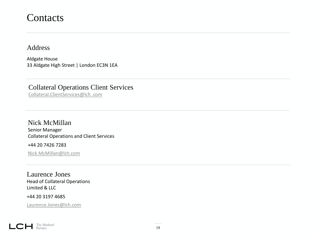### **Contacts**

Address

Aldgate House 33 Aldgate High Street | London EC3N 1EA

Collateral Operations Client Services Collateral.ClientServices@lch .com

Nick McMillan Senior Manager Collateral Operations and Client Services

+44 20 7426 7283

Nick.McMillan@lch.com

Laurence Jones Head of Collateral Operations Limited & LLC

+44 20 3197 4685

Laurence.Jones@lch.com